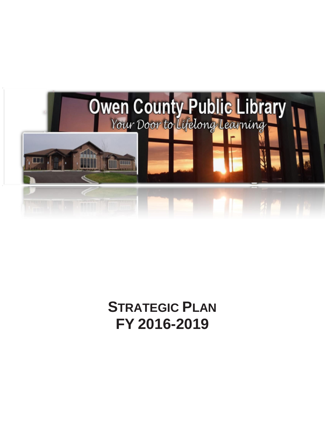

# **STRATEGIC PLAN FY 2016-2019**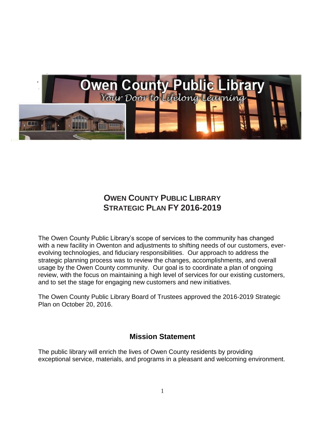

# **OWEN COUNTY PUBLIC LIBRARY STRATEGIC PLAN FY 2016-2019**

The Owen County Public Library's scope of services to the community has changed with a new facility in Owenton and adjustments to shifting needs of our customers, everevolving technologies, and fiduciary responsibilities. Our approach to address the strategic planning process was to review the changes, accomplishments, and overall usage by the Owen County community. Our goal is to coordinate a plan of ongoing review, with the focus on maintaining a high level of services for our existing customers, and to set the stage for engaging new customers and new initiatives.

The Owen County Public Library Board of Trustees approved the 2016-2019 Strategic Plan on October 20, 2016.

## **Mission Statement**

The public library will enrich the lives of Owen County residents by providing exceptional service, materials, and programs in a pleasant and welcoming environment.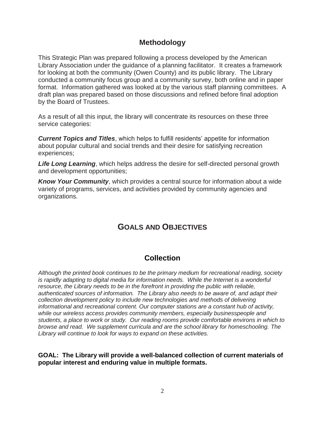## **Methodology**

This Strategic Plan was prepared following a process developed by the American Library Association under the guidance of a planning facilitator. It creates a framework for looking at both the community (Owen County) and its public library. The Library conducted a community focus group and a community survey, both online and in paper format. Information gathered was looked at by the various staff planning committees. A draft plan was prepared based on those discussions and refined before final adoption by the Board of Trustees.

As a result of all this input, the library will concentrate its resources on these three service categories:

*Current Topics and Titles*, which helps to fulfill residents' appetite for information about popular cultural and social trends and their desire for satisfying recreation experiences;

*Life Long Learning*, which helps address the desire for self-directed personal growth and development opportunities;

*Know Your Community*, which provides a central source for information about a wide variety of programs, services, and activities provided by community agencies and organizations.

# **GOALS AND OBJECTIVES**

## **Collection**

*Although the printed book continues to be the primary medium for recreational reading, society is rapidly adapting to digital media for information needs. While the Internet is a wonderful resource, the Library needs to be in the forefront in providing the public with reliable, authenticated sources of information. The Library also needs to be aware of, and adapt their collection development policy to include new technologies and methods of delivering informational and recreational content. Our computer stations are a constant hub of activity, while our wireless access provides community members, especially businesspeople and students, a place to work or study. Our reading rooms provide comfortable environs in which to browse and read. We supplement curricula and are the school library for homeschooling. The Library will continue to look for ways to expand on these activities.*

**GOAL: The Library will provide a well-balanced collection of current materials of popular interest and enduring value in multiple formats.**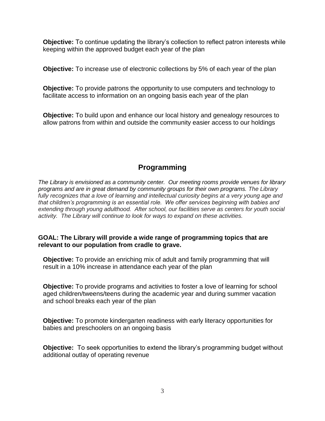**Objective:** To continue updating the library's collection to reflect patron interests while keeping within the approved budget each year of the plan

**Objective:** To increase use of electronic collections by 5% of each year of the plan

**Objective:** To provide patrons the opportunity to use computers and technology to facilitate access to information on an ongoing basis each year of the plan

**Objective:** To build upon and enhance our local history and genealogy resources to allow patrons from within and outside the community easier access to our holdings

# **Programming**

*The Library is envisioned as a community center. Our meeting rooms provide venues for library programs and are in great demand by community groups for their own programs. The Library fully recognizes that a love of learning and intellectual curiosity begins at a very young age and that children's programming is an essential role. We offer services beginning with babies and extending through young adulthood. After school, our facilities serve as centers for youth social activity. The Library will continue to look for ways to expand on these activities.*

## **GOAL: The Library will provide a wide range of programming topics that are relevant to our population from cradle to grave.**

**Objective:** To provide an enriching mix of adult and family programming that will result in a 10% increase in attendance each year of the plan

**Objective:** To provide programs and activities to foster a love of learning for school aged children/tweens/teens during the academic year and during summer vacation and school breaks each year of the plan

**Objective:** To promote kindergarten readiness with early literacy opportunities for babies and preschoolers on an ongoing basis

**Objective:** To seek opportunities to extend the library's programming budget without additional outlay of operating revenue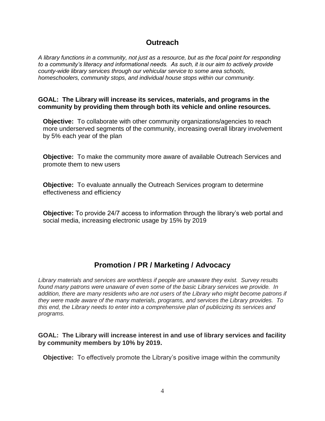## **Outreach**

*A library functions in a community, not just as a resource, but as the focal point for responding to a community's literacy and informational needs. As such, it is our aim to actively provide county-wide library services through our vehicular service to some area schools, homeschoolers, community stops, and individual house stops within our community.*

### **GOAL: The Library will increase its services, materials, and programs in the community by providing them through both its vehicle and online resources.**

**Objective:** To collaborate with other community organizations/agencies to reach more underserved segments of the community, increasing overall library involvement by 5% each year of the plan

**Objective:** To make the community more aware of available Outreach Services and promote them to new users

**Objective:** To evaluate annually the Outreach Services program to determine effectiveness and efficiency

**Objective:** To provide 24/7 access to information through the library's web portal and social media, increasing electronic usage by 15% by 2019

# **Promotion / PR / Marketing / Advocacy**

*Library materials and services are worthless if people are unaware they exist. Survey results found many patrons were unaware of even some of the basic Library services we provide. In addition, there are many residents who are not users of the Library who might become patrons if they were made aware of the many materials, programs, and services the Library provides. To this end, the Library needs to enter into a comprehensive plan of publicizing its services and programs.*

### **GOAL: The Library will increase interest in and use of library services and facility by community members by 10% by 2019.**

**Objective:** To effectively promote the Library's positive image within the community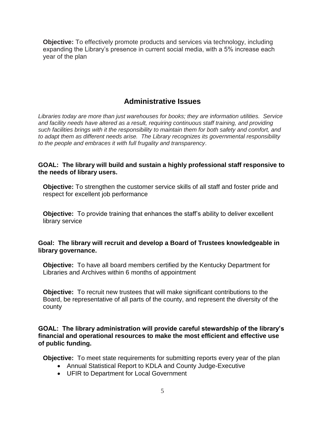**Objective:** To effectively promote products and services via technology, including expanding the Library's presence in current social media, with a 5% increase each year of the plan

# **Administrative Issues**

*Libraries today are more than just warehouses for books; they are information utilities. Service and facility needs have altered as a result, requiring continuous staff training, and providing such facilities brings with it the responsibility to maintain them for both safety and comfort, and to adapt them as different needs arise. The Library recognizes its governmental responsibility to the people and embraces it with full frugality and transparency*.

## **GOAL: The library will build and sustain a highly professional staff responsive to the needs of library users.**

**Objective:** To strengthen the customer service skills of all staff and foster pride and respect for excellent job performance

**Objective:** To provide training that enhances the staff's ability to deliver excellent library service

## **Goal: The library will recruit and develop a Board of Trustees knowledgeable in library governance.**

**Objective:** To have all board members certified by the Kentucky Department for Libraries and Archives within 6 months of appointment

**Objective:** To recruit new trustees that will make significant contributions to the Board, be representative of all parts of the county, and represent the diversity of the county

**GOAL: The library administration will provide careful stewardship of the library's financial and operational resources to make the most efficient and effective use of public funding.**

**Objective:** To meet state requirements for submitting reports every year of the plan

- Annual Statistical Report to KDLA and County Judge-Executive
- UFIR to Department for Local Government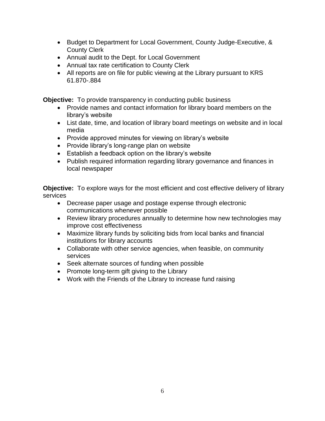- Budget to Department for Local Government, County Judge-Executive, & County Clerk
- Annual audit to the Dept. for Local Government
- Annual tax rate certification to County Clerk
- All reports are on file for public viewing at the Library pursuant to KRS 61.870-.884

**Objective:** To provide transparency in conducting public business

- Provide names and contact information for library board members on the library's website
- List date, time, and location of library board meetings on website and in local media
- Provide approved minutes for viewing on library's website
- Provide library's long-range plan on website
- Establish a feedback option on the library's website
- Publish required information regarding library governance and finances in local newspaper

**Objective:** To explore ways for the most efficient and cost effective delivery of library services

- Decrease paper usage and postage expense through electronic communications whenever possible
- Review library procedures annually to determine how new technologies may improve cost effectiveness
- Maximize library funds by soliciting bids from local banks and financial institutions for library accounts
- Collaborate with other service agencies, when feasible, on community services
- Seek alternate sources of funding when possible
- Promote long-term gift giving to the Library
- Work with the Friends of the Library to increase fund raising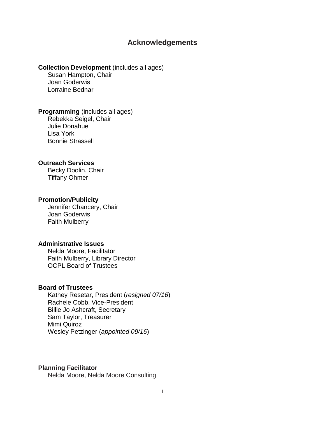## **Acknowledgements**

#### **Collection Development** (includes all ages)

Susan Hampton, Chair Joan Goderwis Lorraine Bednar

**Programming** (includes all ages) Rebekka Seigel, Chair Julie Donahue Lisa York

Bonnie Strassell

#### **Outreach Services**

Becky Doolin, Chair Tiffany Ohmer

#### **Promotion/Publicity**

Jennifer Chancery, Chair Joan Goderwis Faith Mulberry

#### **Administrative Issues**

Nelda Moore, Facilitator Faith Mulberry, Library Director OCPL Board of Trustees

#### **Board of Trustees**

Kathey Resetar, President (*resigned 07/16*) Rachele Cobb, Vice-President Billie Jo Ashcraft, Secretary Sam Taylor, Treasurer Mimi Quiroz Wesley Petzinger (*appointed 09/16*)

#### **Planning Facilitator**

Nelda Moore, Nelda Moore Consulting